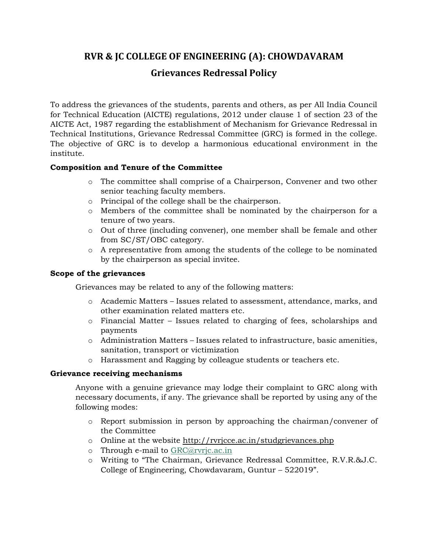# **RVR & JC COLLEGE OF ENGINEERING (A): CHOWDAVARAM Grievances Redressal Policy**

To address the grievances of the students, parents and others, as per All India Council for Technical Education (AICTE) regulations, 2012 under clause 1 of section 23 of the AICTE Act, 1987 regarding the establishment of Mechanism for Grievance Redressal in Technical Institutions, Grievance Redressal Committee (GRC) is formed in the college. The objective of GRC is to develop a harmonious educational environment in the institute.

## **Composition and Tenure of the Committee**

- o The committee shall comprise of a Chairperson, Convener and two other senior teaching faculty members.
- o Principal of the college shall be the chairperson.
- o Members of the committee shall be nominated by the chairperson for a tenure of two years.
- o Out of three (including convener), one member shall be female and other from SC/ST/OBC category.
- o A representative from among the students of the college to be nominated by the chairperson as special invitee.

### **Scope of the grievances**

Grievances may be related to any of the following matters:

- o Academic Matters Issues related to assessment, attendance, marks, and other examination related matters etc.
- o Financial Matter Issues related to charging of fees, scholarships and payments
- $\circ$  Administration Matters Issues related to infrastructure, basic amenities, sanitation, transport or victimization
- o Harassment and Ragging by colleague students or teachers etc.

### **Grievance receiving mechanisms**

Anyone with a genuine grievance may lodge their complaint to GRC along with necessary documents, if any. The grievance shall be reported by using any of the following modes:

- o Report submission in person by approaching the chairman/convener of the Committee
- o Online at the website<http://rvrjcce.ac.in/studgrievances.php>
- o Through e-mail to [GRC@rvrjc.ac.in](mailto:GRC@rvrjc.ac.in)
- o Writing to "The Chairman, Grievance Redressal Committee, R.V.R.&J.C. College of Engineering, Chowdavaram, Guntur – 522019".